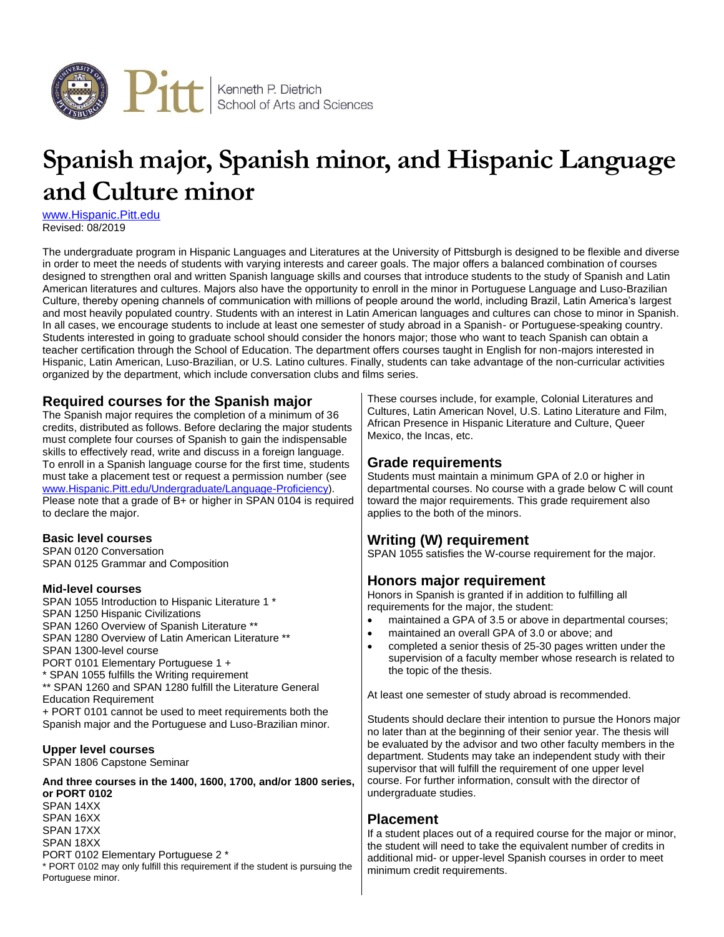

# **Spanish major, Spanish minor, and Hispanic Language and Culture minor**

[www.Hispanic.Pitt.edu](http://www.hispanic.pitt.edu/) Revised: 08/2019

The undergraduate program in Hispanic Languages and Literatures at the University of Pittsburgh is designed to be flexible and diverse in order to meet the needs of students with varying interests and career goals. The major offers a balanced combination of courses designed to strengthen oral and written Spanish language skills and courses that introduce students to the study of Spanish and Latin American literatures and cultures. Majors also have the opportunity to enroll in the minor in Portuguese Language and Luso-Brazilian Culture, thereby opening channels of communication with millions of people around the world, including Brazil, Latin America's largest and most heavily populated country. Students with an interest in Latin American languages and cultures can chose to minor in Spanish. In all cases, we encourage students to include at least one semester of study abroad in a Spanish- or Portuguese-speaking country. Students interested in going to graduate school should consider the honors major; those who want to teach Spanish can obtain a teacher certification through the School of Education. The department offers courses taught in English for non-majors interested in Hispanic, Latin American, Luso-Brazilian, or U.S. Latino cultures. Finally, students can take advantage of the non-curricular activities organized by the department, which include conversation clubs and films series.

## **Required courses for the Spanish major**

The Spanish major requires the completion of a minimum of 36 credits, distributed as follows. Before declaring the major students must complete four courses of Spanish to gain the indispensable skills to effectively read, write and discuss in a foreign language. To enroll in a Spanish language course for the first time, students must take a placement test or request a permission number (see [www.Hispanic.Pitt.edu/Undergraduate/Language-Proficiency\)](http://www.hispanic.pitt.edu/undergraduate/language-proficiency). Please note that a grade of B+ or higher in SPAN 0104 is required to declare the major.

#### **Basic level courses**

SPAN 0120 Conversation SPAN 0125 Grammar and Composition

#### **Mid-level courses**

SPAN 1055 Introduction to Hispanic Literature 1 \* SPAN 1250 Hispanic Civilizations SPAN 1260 Overview of Spanish Literature \*\* SPAN 1280 Overview of Latin American Literature \*\* SPAN 1300-level course PORT 0101 Elementary Portuguese 1 + \* SPAN 1055 fulfills the Writing requirement \*\* SPAN 1260 and SPAN 1280 fulfill the Literature General Education Requirement + PORT 0101 cannot be used to meet requirements both the Spanish major and the Portuguese and Luso-Brazilian minor.

#### **Upper level courses**

SPAN 1806 Capstone Seminar

#### **And three courses in the 1400, 1600, 1700, and/or 1800 series, or PORT 0102**

SPAN 14XX SPAN 16XX SPAN 17XX SPAN 18XX PORT 0102 Elementary Portuguese 2 \* \* PORT 0102 may only fulfill this requirement if the student is pursuing the Portuguese minor.

These courses include, for example, Colonial Literatures and Cultures, Latin American Novel, U.S. Latino Literature and Film, African Presence in Hispanic Literature and Culture, Queer Mexico, the Incas, etc.

### **Grade requirements**

Students must maintain a minimum GPA of 2.0 or higher in departmental courses. No course with a grade below C will count toward the major requirements. This grade requirement also applies to the both of the minors.

## **Writing (W) requirement**

SPAN 1055 satisfies the W-course requirement for the major.

## **Honors major requirement**

Honors in Spanish is granted if in addition to fulfilling all requirements for the major, the student:

- maintained a GPA of 3.5 or above in departmental courses;
- maintained an overall GPA of 3.0 or above; and
- completed a senior thesis of 25-30 pages written under the supervision of a faculty member whose research is related to the topic of the thesis.

At least one semester of study abroad is recommended.

Students should declare their intention to pursue the Honors major no later than at the beginning of their senior year. The thesis will be evaluated by the advisor and two other faculty members in the department. Students may take an independent study with their supervisor that will fulfill the requirement of one upper level course. For further information, consult with the director of undergraduate studies.

## **Placement**

If a student places out of a required course for the major or minor, the student will need to take the equivalent number of credits in additional mid- or upper-level Spanish courses in order to meet minimum credit requirements.